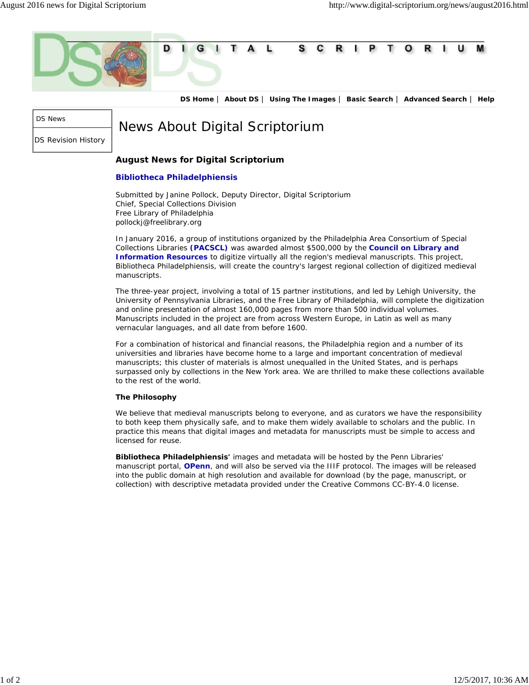

**DS Home** | **About DS** | **Using The Images** | **Basic Search** | **Advanced Search** | **Help**

DS News

DS Revision History

News About Digital Scriptorium

## **August News for Digital Scriptorium**

## **Bibliotheca Philadelphiensis**

Submitted by Janine Pollock, Deputy Director, Digital Scriptorium Chief, Special Collections Division Free Library of Philadelphia pollockj@freelibrary.org

In January 2016, a group of institutions organized by the Philadelphia Area Consortium of Special Collections Libraries **(PACSCL)** was awarded almost \$500,000 by the **Council on Library and Information Resources** to digitize virtually all the region's medieval manuscripts. This project, *Bibliotheca Philadelphiensis*, will create the country's largest regional collection of digitized medieval manuscripts.

The three-year project, involving a total of 15 partner institutions, and led by Lehigh University, the University of Pennsylvania Libraries, and the Free Library of Philadelphia, will complete the digitization and online presentation of almost 160,000 pages from more than 500 individual volumes. Manuscripts included in the project are from across Western Europe, in Latin as well as many vernacular languages, and all date from before 1600.

For a combination of historical and financial reasons, the Philadelphia region and a number of its universities and libraries have become home to a large and important concentration of medieval manuscripts; this cluster of materials is almost unequalled in the United States, and is perhaps surpassed only by collections in the New York area. We are thrilled to make these collections available to the rest of the world.

## **The Philosophy**

We believe that medieval manuscripts belong to everyone, and as curators we have the responsibility to both keep them physically safe, and to make them widely available to scholars and the public. In practice this means that digital images and metadata for manuscripts must be simple to access and licensed for reuse.

**Bibliotheca Philadelphiensis'** images and metadata will be hosted by the Penn Libraries' manuscript portal, **OPenn**, and will also be served via the IIIF protocol. The images will be released into the public domain at high resolution and available for download (by the page, manuscript, or collection) with descriptive metadata provided under the Creative Commons CC-BY-4.0 license.